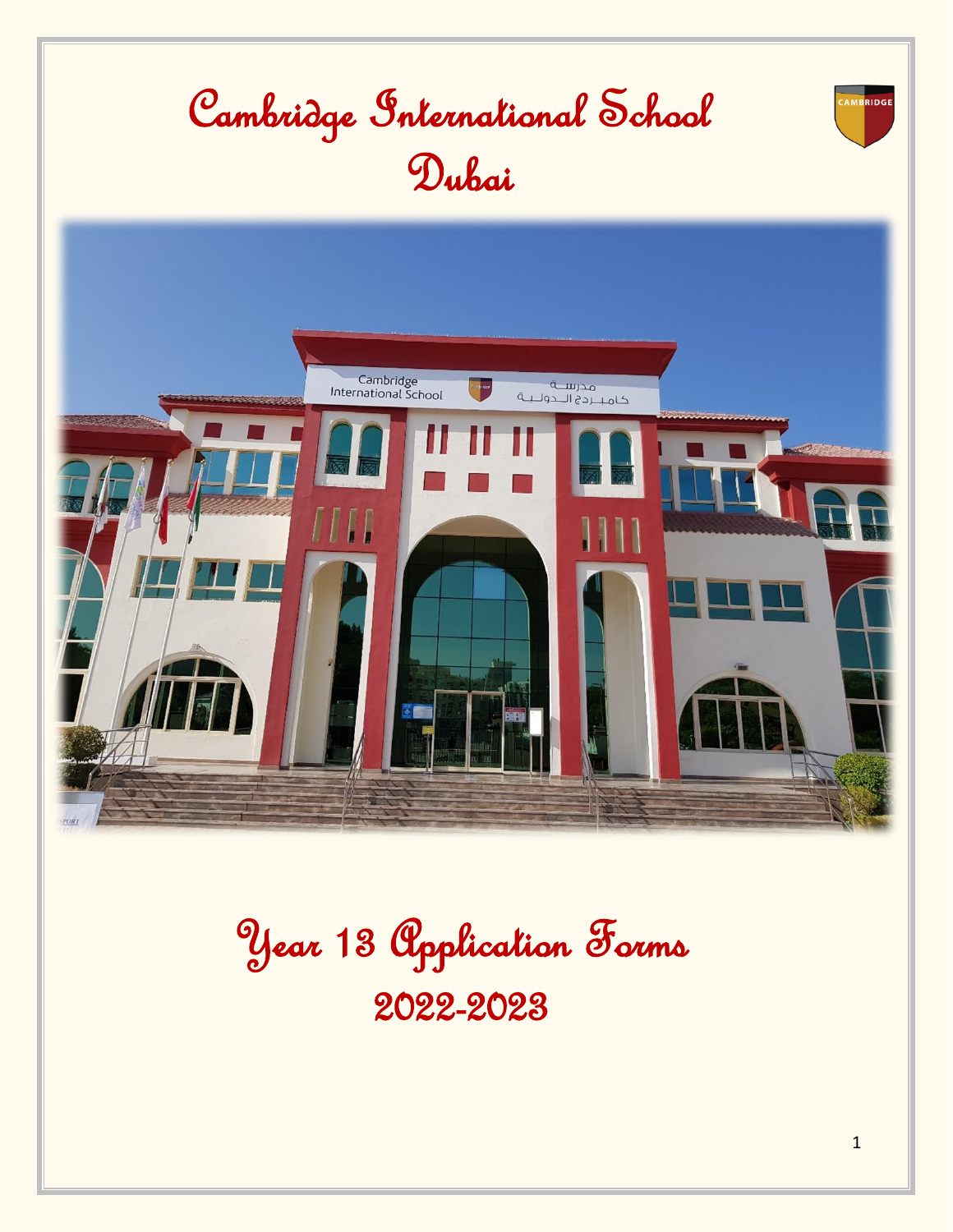

Year 13 Application Forms 2022-2023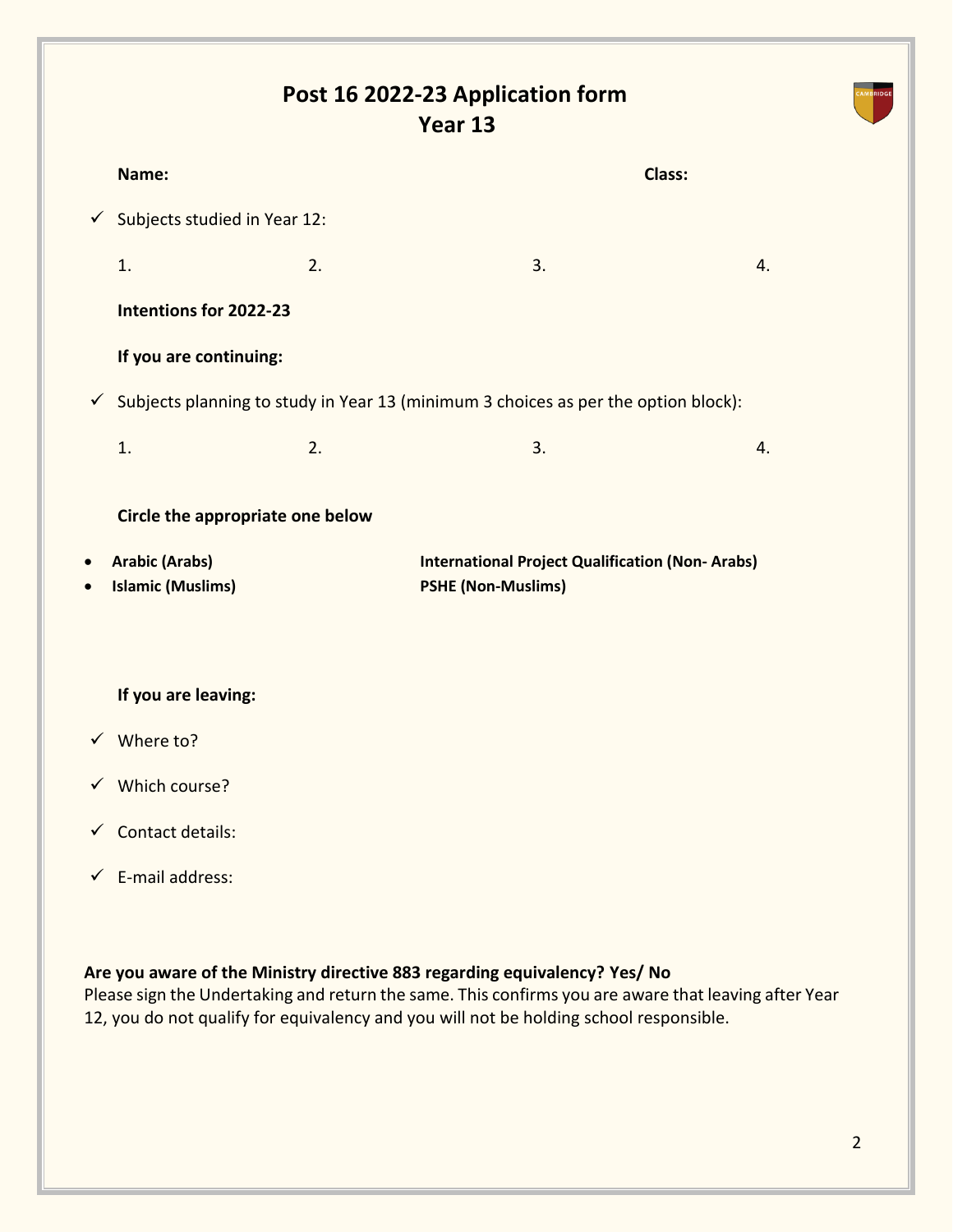# **Post 16 2022-23 Application form Year 13**

|                        | Name:                                     |    |                                                                                                 | <b>Class:</b>  |
|------------------------|-------------------------------------------|----|-------------------------------------------------------------------------------------------------|----------------|
|                        | $\checkmark$ Subjects studied in Year 12: |    |                                                                                                 |                |
|                        | 1.                                        | 2. | 3.                                                                                              | $\mathbf{4}$ . |
|                        | Intentions for 2022-23                    |    |                                                                                                 |                |
|                        | If you are continuing:                    |    |                                                                                                 |                |
|                        |                                           |    | $\checkmark$ Subjects planning to study in Year 13 (minimum 3 choices as per the option block): |                |
|                        | 1.                                        | 2. | 3.                                                                                              | 4.             |
|                        | Circle the appropriate one below          |    |                                                                                                 |                |
| $\bullet$<br>$\bullet$ | <b>Arabic (Arabs)</b>                     |    | <b>International Project Qualification (Non-Arabs)</b>                                          |                |
|                        | <b>Islamic (Muslims)</b>                  |    | <b>PSHE (Non-Muslims)</b>                                                                       |                |
|                        | If you are leaving:                       |    |                                                                                                 |                |
|                        | $\checkmark$ Where to?                    |    |                                                                                                 |                |
|                        | $\checkmark$ Which course?                |    |                                                                                                 |                |
|                        | $\checkmark$ Contact details:             |    |                                                                                                 |                |
|                        | $\checkmark$ E-mail address:              |    |                                                                                                 |                |

### **Are you aware of the Ministry directive 883 regarding equivalency? Yes/ No**

Please sign the Undertaking and return the same. This confirms you are aware that leaving after Year 12, you do not qualify for equivalency and you will not be holding school responsible.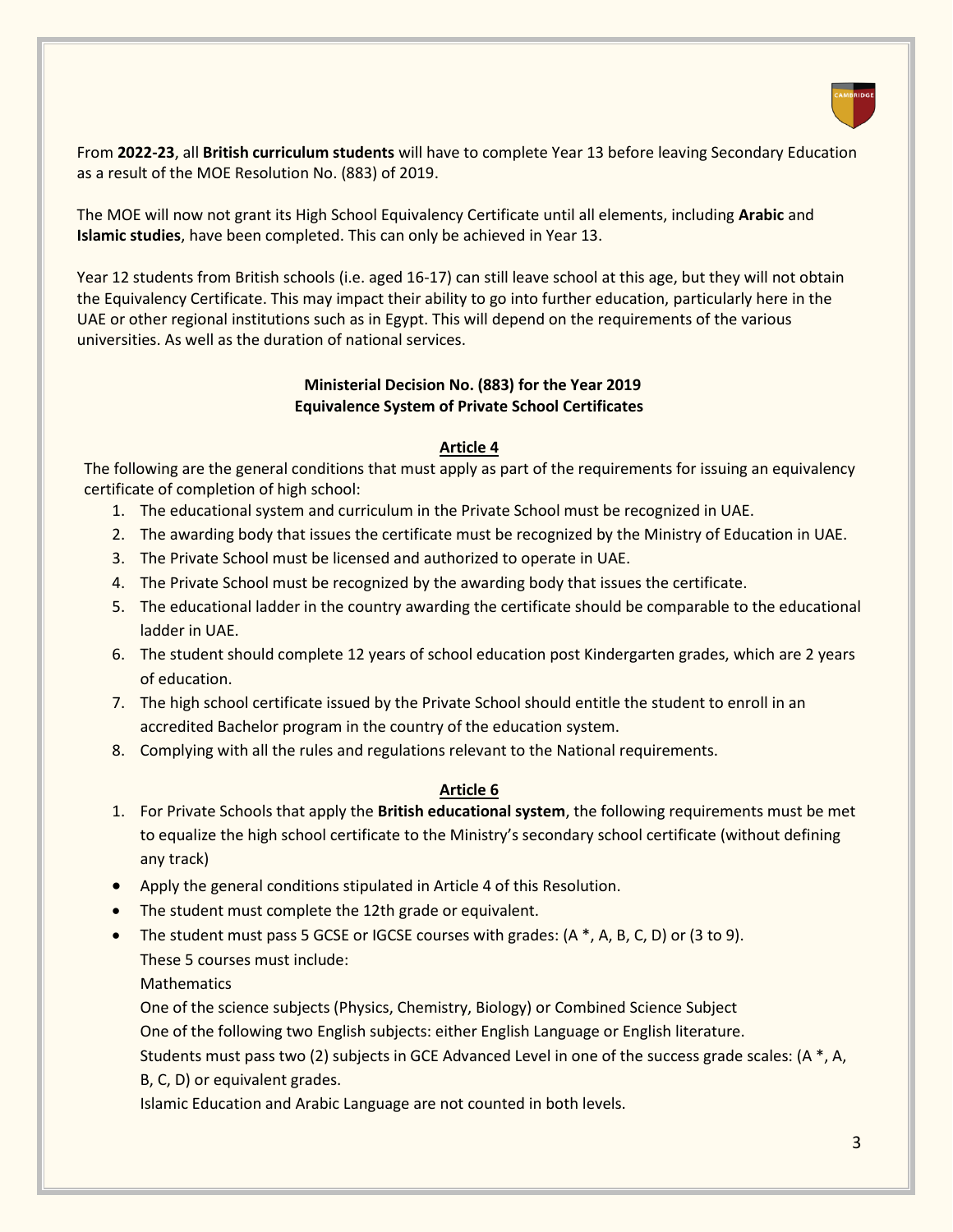

From **2022-23**, all **British curriculum students** will have to complete Year 13 before leaving Secondary Education as a result of the MOE Resolution No. (883) of 2019.

The MOE will now not grant its High School Equivalency Certificate until all elements, including **Arabic** and **Islamic studies**, have been completed. This can only be achieved in Year 13.

Year 12 students from British schools (i.e. aged 16-17) can still leave school at this age, but they will not obtain the Equivalency Certificate. This may impact their ability to go into further education, particularly here in the UAE or other regional institutions such as in Egypt. This will depend on the requirements of the various universities. As well as the duration of national services.

#### **Ministerial Decision No. (883) for the Year 2019 Equivalence System of Private School Certificates**

#### **Article 4**

The following are the general conditions that must apply as part of the requirements for issuing an equivalency certificate of completion of high school:

- 1. The educational system and curriculum in the Private School must be recognized in UAE.
- 2. The awarding body that issues the certificate must be recognized by the Ministry of Education in UAE.
- 3. The Private School must be licensed and authorized to operate in UAE.
- 4. The Private School must be recognized by the awarding body that issues the certificate.
- 5. The educational ladder in the country awarding the certificate should be comparable to the educational ladder in UAE.
- 6. The student should complete 12 years of school education post Kindergarten grades, which are 2 years of education.
- 7. The high school certificate issued by the Private School should entitle the student to enroll in an accredited Bachelor program in the country of the education system.
- 8. Complying with all the rules and regulations relevant to the National requirements.

#### **Article 6**

- 1. For Private Schools that apply the **British educational system**, the following requirements must be met to equalize the high school certificate to the Ministry's secondary school certificate (without defining any track)
- Apply the general conditions stipulated in Article 4 of this Resolution.
- The student must complete the 12th grade or equivalent.
- The student must pass 5 GCSE or IGCSE courses with grades:  $(A*, A, B, C, D)$  or  $(3 to 9)$ . These 5 courses must include:

**Mathematics** 

One of the science subjects (Physics, Chemistry, Biology) or Combined Science Subject

One of the following two English subjects: either English Language or English literature.

Students must pass two (2) subjects in GCE Advanced Level in one of the success grade scales: (A \*, A, B, C, D) or equivalent grades.

Islamic Education and Arabic Language are not counted in both levels.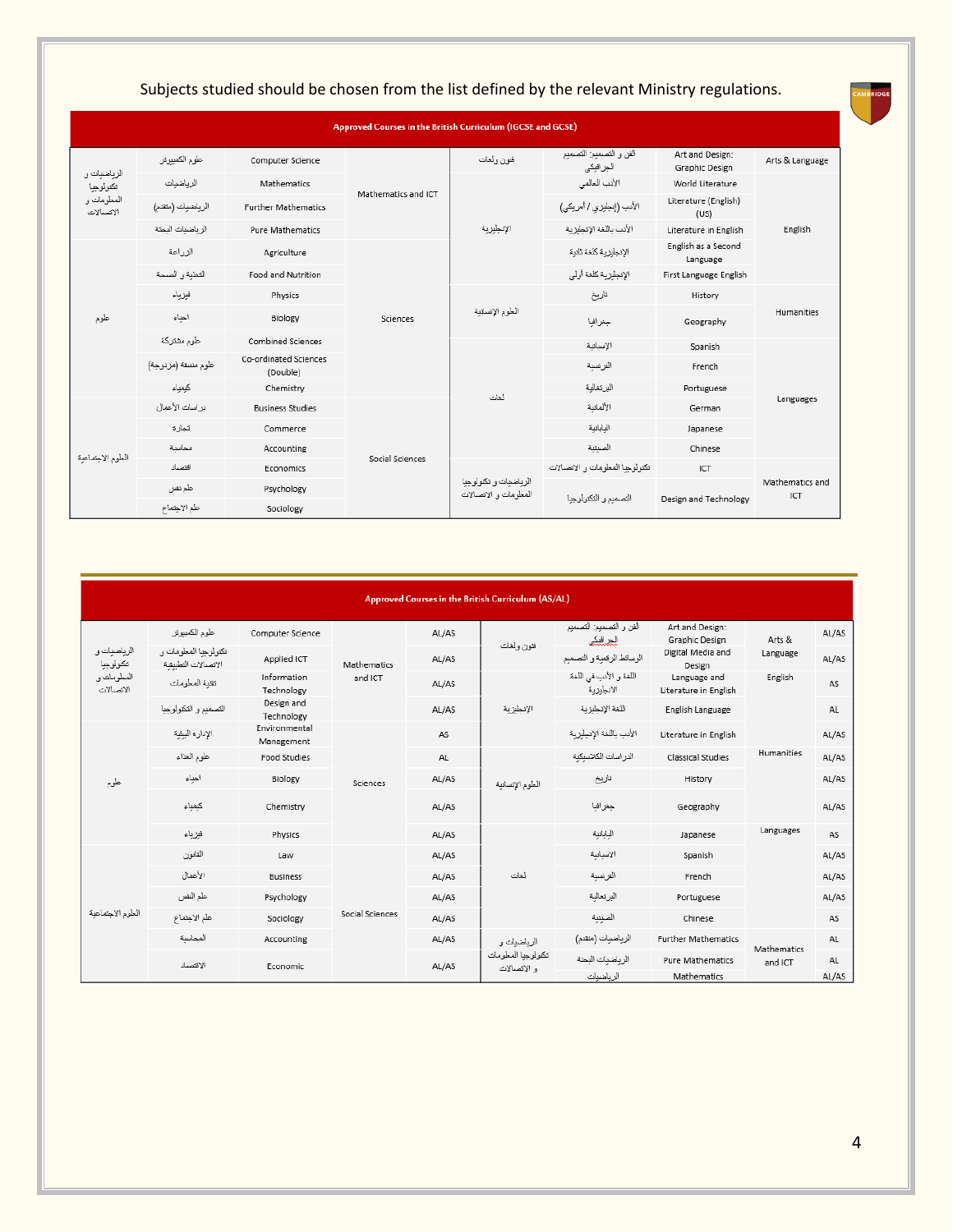|                          |                     |                                   | Approved Courses in the British Curriculum (IGCSE and GCSE) |                                               |                                      |                                   |                        |            |
|--------------------------|---------------------|-----------------------------------|-------------------------------------------------------------|-----------------------------------------------|--------------------------------------|-----------------------------------|------------------------|------------|
| الزياضيات و              | علوم الكمبيوتر      | Computer Science                  |                                                             | فتون ولغات                                    | الفن و التصميع: التصميع<br>الجرافيكي | Art and Design:<br>Graphic Design | Arts & Language        |            |
| تكتولوجيا                | الرياضيات           | Mathematics                       | Mathematics and ICT                                         |                                               | الأدب العالمي                        | World Literature                  |                        |            |
| المعلومات و<br>الانصالات | الرياضيات (مئقدم)   | <b>Further Mathematics</b>        |                                                             |                                               | الأنب (إنجلوزي / أمريكي)             | Literature (English)<br>(US)      | English                |            |
|                          | الرياضيات البحثة    | <b>Pure Mathematics</b>           |                                                             | الإنجليزية                                    | الأنب باللغة الإنجليزية              | Literature in English             |                        |            |
|                          | الزراعة             | Agriculture                       |                                                             |                                               | الإنجليزية كلغة ثانية                | English as a Second<br>Language   |                        |            |
|                          | التغذية والصمة      | Food and Nutrition                |                                                             |                                               | الإنجليزية كلغة أولي                 | First Language English            |                        |            |
|                          | فبزياء              | Physics                           | Sciences                                                    |                                               | العلوم الإنسانية                     | تاريخ                             | History                | Humanities |
| علوم                     | احباء               | Biology                           |                                                             |                                               |                                      | جغرافيا                           | Geography              |            |
|                          | علوم مشتركة         | Combined Sciences                 |                                                             |                                               | الإسبانية                            | Spanish                           | Languages              |            |
|                          | علوم منسقة (مزدوجة) | Co-ordinated Sciences<br>(Double) |                                                             |                                               | الفرنسية                             | French                            |                        |            |
|                          | كبمياء              | Chemistry                         |                                                             | أخأت                                          | البرتغالبة                           | Portuguese                        |                        |            |
|                          | دراسك الأعمال       | <b>Business Studies</b>           | Social Sciences                                             |                                               | الألماننة                            | German                            |                        |            |
|                          | تحارز               | Commerce                          |                                                             |                                               | اليابانية                            | Japanese                          |                        |            |
| العلوم الاجتماعية        | محاسنة              | Accounting                        |                                                             |                                               |                                      | الصبتية                           | Chinese                |            |
|                          | اقتصاد              | Economics                         |                                                             | الرياضبات و تكثولوجيا<br>المعلومات والإتصالات | تكنولوحنا المطومات والانصبالات       | ICT                               |                        |            |
|                          | علم تفس             | Psychology                        |                                                             |                                               | التصميم والتكتولوجيا                 | Design and Technology             | Mathematics and<br>ICT |            |
|                          | علم الاحتماع        | Sociology                         |                                                             |                                               |                                      |                                   |                        |            |

## Subjects studied should be chosen from the list defined by the relevant Ministry regulations.

| Approved Courses in the British Curriculum (AS/AL) |  |
|----------------------------------------------------|--|
|                                                    |  |

|                          | علوم الكمبيوتر                               | Computer Science            | Mathematics<br>and ICT | AL/AS | فتون ولغات                                        | الفن و التصميع: التصميم<br>للملس     | Art and Design:<br>Graphic Design     | Arts &                 | AL/AS     |
|--------------------------|----------------------------------------------|-----------------------------|------------------------|-------|---------------------------------------------------|--------------------------------------|---------------------------------------|------------------------|-----------|
| الرياضيات و<br>تكتولوجيا | تكثولوجبا المعلومات و<br>الاتصالات التطبيقية | Applied ICT                 |                        | AL/AS |                                                   | الوسائط الرقعبة و التصميم            | Digital Media and<br>Design           | Language               | AL/AS     |
| المعلومات و<br>الإنسالات | تقنبة المعلومات                              | Information<br>Technology   |                        | AL/AS | الإنجليزية                                        | اللغة و الأدب في اللغة<br>الانجليزية | Language and<br>Literature in English | English                | AS        |
|                          | التصميم والتكتولوجيا                         | Design and<br>Technology    |                        | AL/AS |                                                   | اللغة الإنجليزية                     | English Language                      |                        | AL        |
|                          | الإداره البيئية                              | Environmental<br>Management | Sciences               | AS    |                                                   | الأدب باللغة الإنجليزية              | Literature in English                 |                        | AL/AS     |
|                          | علوم الغذاء                                  | Food Studies                |                        | AL    | الطوم الإنسانية                                   | الدر اسات الكلاسكنة                  | Classical Studies                     | Humanities             | AL/AS     |
| علوم                     | احباء                                        | Biology                     |                        | AL/AS |                                                   | تاريخ                                | History                               |                        | AL/AS     |
|                          | كيمياء                                       | Chemistry                   |                        | AL/AS |                                                   | جغرافيا                              | Geography                             |                        | AL/AS     |
|                          | فيزياء                                       | Physics                     |                        | AL/AS |                                                   | البابانية                            | Japanese                              | Languages              | AS        |
|                          | القانون                                      | Law                         |                        | AL/AS |                                                   | الاسانية                             | Spanish                               |                        | AL/AS     |
|                          | الأعمال                                      | <b>Business</b>             |                        | AL/AS | ثغات                                              | الفريسية                             | French                                |                        | AL/AS     |
|                          | علم النفس                                    | Psychology                  | Social Sciences        | AL/AS |                                                   | البرنغالبة                           | Portuguese                            |                        | AL/AS     |
| العلوم الاجتماعية        | علم الاجتماع                                 | Sociology                   |                        | AL/AS |                                                   | الصينية                              | Chinese                               |                        | AS        |
|                          | المحاسنة                                     | Accounting                  |                        | AL/AS | الرياضيات و<br>تكتولوجيا المعلومات<br>و الإنصالات | الرياضيات (منقدم)                    | <b>Further Mathematics</b>            |                        | AL        |
|                          | الاقتصاد                                     | Economic                    |                        | AL/AS |                                                   | الرياضيات البحثة                     | <b>Pure Mathematics</b>               | Mathematics<br>and ICT | <b>AL</b> |
|                          |                                              |                             |                        |       |                                                   | الرياضيات                            | Mathematics                           |                        | AL/AS     |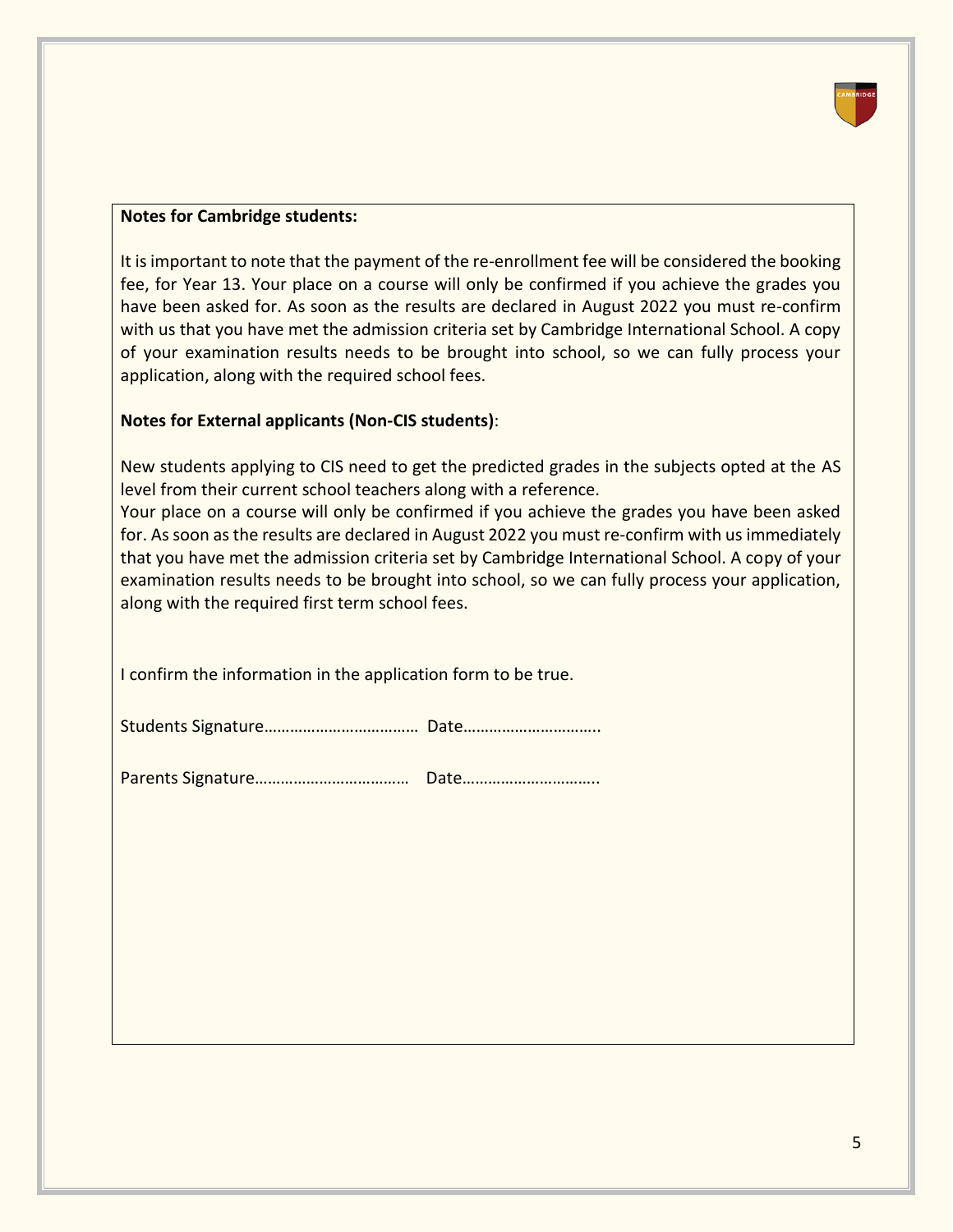

#### **Notes for Cambridge students:**

It is important to note that the payment of the re-enrollment fee will be considered the booking fee, for Year 13. Your place on a course will only be confirmed if you achieve the grades you have been asked for. As soon as the results are declared in August 2022 you must re-confirm with us that you have met the admission criteria set by Cambridge International School. A copy of your examination results needs to be brought into school, so we can fully process your application, along with the required school fees.

#### **Notes for External applicants (Non-CIS students)**:

New students applying to CIS need to get the predicted grades in the subjects opted at the AS level from their current school teachers along with a reference.

Your place on a course will only be confirmed if you achieve the grades you have been asked for. As soon as the results are declared in August 2022 you must re-confirm with us immediately that you have met the admission criteria set by Cambridge International School. A copy of your examination results needs to be brought into school, so we can fully process your application, along with the required first term school fees.

I confirm the information in the application form to be true.

|--|--|

Parents Signature……………………………… Date…………………………..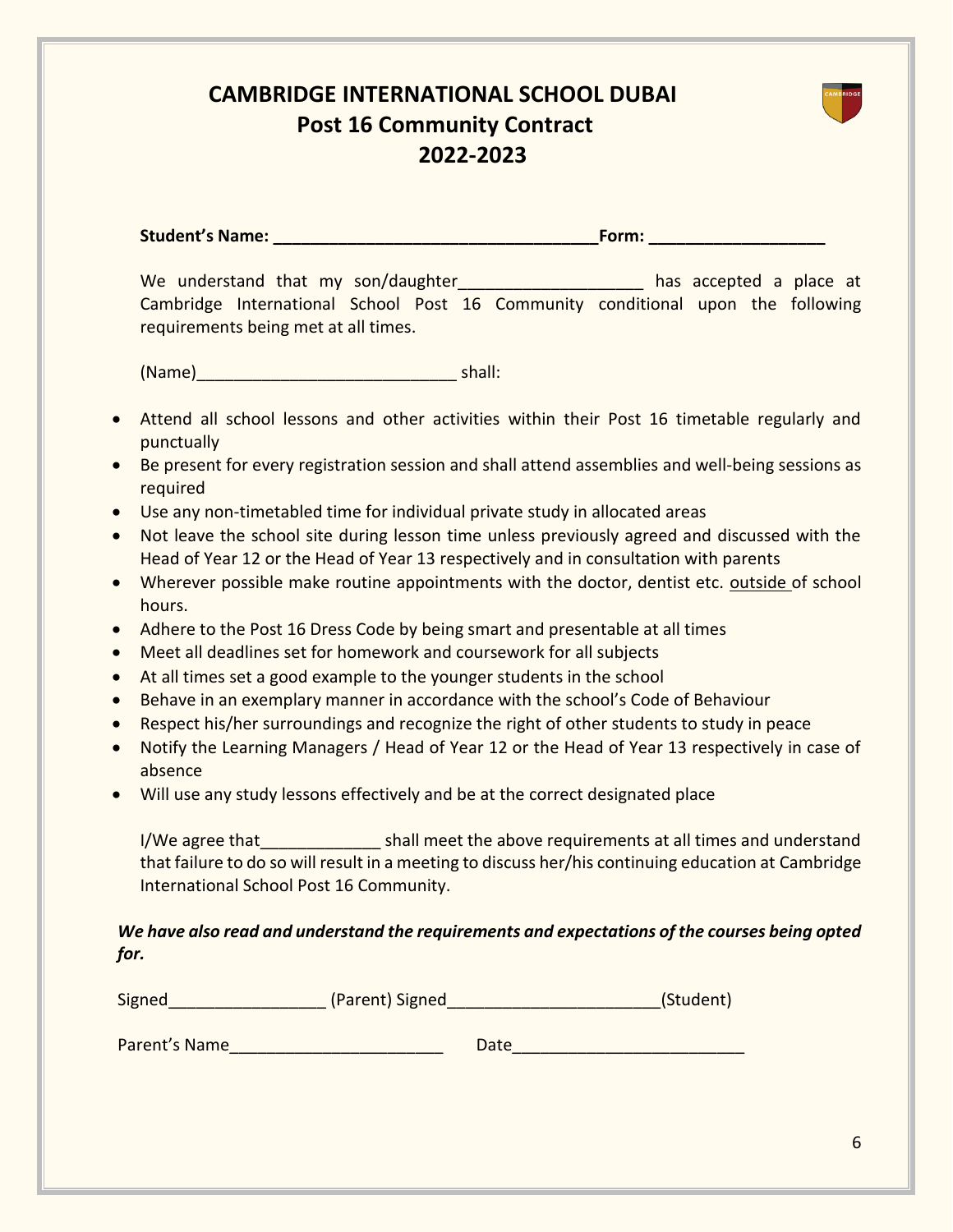## **CAMBRIDGE INTERNATIONAL SCHOOL DUBAI Post 16 Community Contract 2022-2023**

**Student's Name: \_\_\_\_\_\_\_\_\_\_\_\_\_\_\_\_\_\_\_\_\_\_\_\_\_\_\_\_\_\_\_\_\_\_\_Form: \_\_\_\_\_\_\_\_\_\_\_\_\_\_\_\_\_\_\_**

We understand that my son/daughter and the mass accepted a place at Cambridge International School Post 16 Community conditional upon the following requirements being met at all times.

(Name)\_\_\_\_\_\_\_\_\_\_\_\_\_\_\_\_\_\_\_\_\_\_\_\_\_\_\_\_ shall:

- Attend all school lessons and other activities within their Post 16 timetable regularly and punctually
- Be present for every registration session and shall attend assemblies and well-being sessions as required
- Use any non-timetabled time for individual private study in allocated areas
- Not leave the school site during lesson time unless previously agreed and discussed with the Head of Year 12 or the Head of Year 13 respectively and in consultation with parents
- Wherever possible make routine appointments with the doctor, dentist etc. outside of school hours.
- Adhere to the Post 16 Dress Code by being smart and presentable at all times
- Meet all deadlines set for homework and coursework for all subjects
- At all times set a good example to the younger students in the school
- Behave in an exemplary manner in accordance with the school's Code of Behaviour
- Respect his/her surroundings and recognize the right of other students to study in peace
- Notify the Learning Managers / Head of Year 12 or the Head of Year 13 respectively in case of absence
- Will use any study lessons effectively and be at the correct designated place

I/We agree that The shall meet the above requirements at all times and understand that failure to do so will result in a meeting to discuss her/his continuing education at Cambridge International School Post 16 Community.

### *We have also read and understand the requirements and expectations of the courses being opted for.*

| Signed        | (Parent) Signed | (Student) |
|---------------|-----------------|-----------|
|               |                 |           |
| Parent's Name | Date            |           |